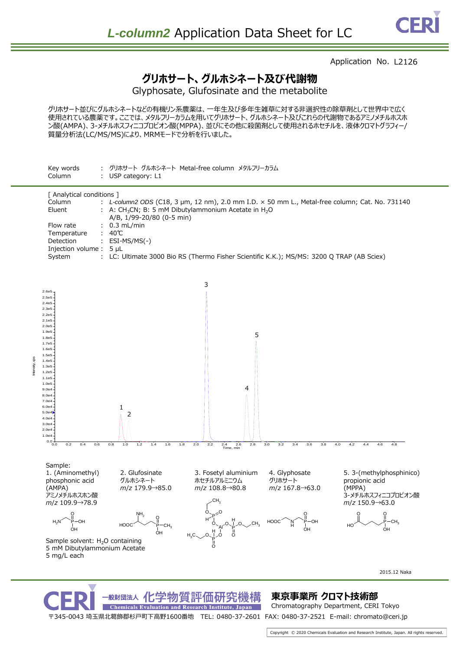## Application No. L2126

## **グリホサート、グルホシネート及び代謝物**

Glyphosate, Glufosinate and the metabolite

グリホサート並びにグルホシネートなどの有機リン系農薬は、一年生及び多年生雑草に対する非選択性の除草剤として世界中で広く 使用されている農薬です。ここでは、メタルフリーカラムを用いてグリホサート、グルホシネート及びこれらの代謝物であるアミノメチルホスホ ン酸(AMPA)、3-メチルホスフィニコプロピオン酸(MPPA)、並びにその他に殺菌剤として使用されるホセチルを、液体クロマトグラフィー/ 質量分析法(LC/MS/MS)により、MRMモードで分析を行いました。



〒345-0043 埼玉県北葛飾郡杉戸町下高野1600番地 TEL: 0480-37-2601 FAX: 0480-37-2521 E-mail: chromato@ceri.jp

**Chemicals Evaluation and Research Institute, Japan** 

Ĕ tersh

## 化学物質評価研究機構 **東京事業所 クロマト技術部**

Chromatography Department, CERI Tokyo